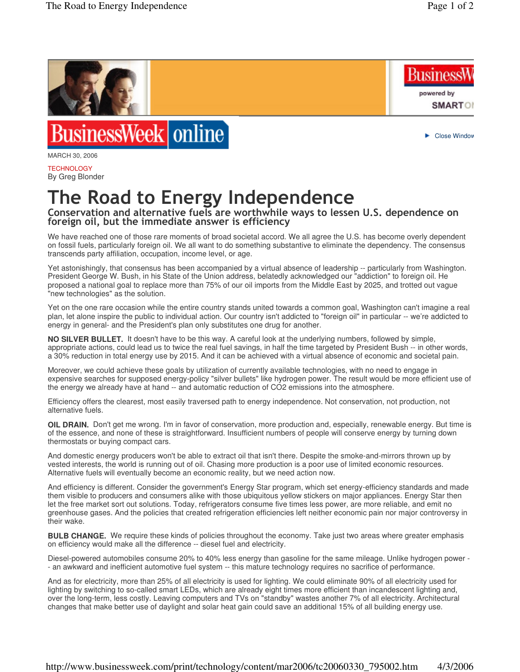**Business** 

powered by

Close Window

**SMARTOR** 



## BusinessWeek online

MARCH 30, 2006

**TECHNOLOGY** By Greg Blonder

## The Road to Energy Independence

Conservation and alternative fuels are worthwhile ways to lessen U.S. dependence on foreign oil, but the immediate answer is efficiency

We have reached one of those rare moments of broad societal accord. We all agree the U.S. has become overly dependent on fossil fuels, particularly foreign oil. We all want to do something substantive to eliminate the dependency. The consensus transcends party affiliation, occupation, income level, or age.

Yet astonishingly, that consensus has been accompanied by a virtual absence of leadership -- particularly from Washington. President George W. Bush, in his State of the Union address, belatedly acknowledged our "addiction" to foreign oil. He proposed a national goal to replace more than 75% of our oil imports from the Middle East by 2025, and trotted out vague "new technologies" as the solution.

Yet on the one rare occasion while the entire country stands united towards a common goal, Washington can't imagine a real plan, let alone inspire the public to individual action. Our country isn't addicted to "foreign oil" in particular -- we're addicted to energy in general- and the President's plan only substitutes one drug for another.

**NO SILVER BULLET.** It doesn't have to be this way. A careful look at the underlying numbers, followed by simple, appropriate actions, could lead us to twice the real fuel savings, in half the time targeted by President Bush -- in other words, a 30% reduction in total energy use by 2015. And it can be achieved with a virtual absence of economic and societal pain.

Moreover, we could achieve these goals by utilization of currently available technologies, with no need to engage in expensive searches for supposed energy-policy "silver bullets" like hydrogen power. The result would be more efficient use of the energy we already have at hand -- and automatic reduction of CO2 emissions into the atmosphere.

Efficiency offers the clearest, most easily traversed path to energy independence. Not conservation, not production, not alternative fuels.

**OIL DRAIN.** Don't get me wrong. I'm in favor of conservation, more production and, especially, renewable energy. But time is of the essence, and none of these is straightforward. Insufficient numbers of people will conserve energy by turning down thermostats or buying compact cars.

And domestic energy producers won't be able to extract oil that isn't there. Despite the smoke-and-mirrors thrown up by vested interests, the world is running out of oil. Chasing more production is a poor use of limited economic resources. Alternative fuels will eventually become an economic reality, but we need action now.

And efficiency is different. Consider the government's Energy Star program, which set energy-efficiency standards and made them visible to producers and consumers alike with those ubiquitous yellow stickers on major appliances. Energy Star then let the free market sort out solutions. Today, refrigerators consume five times less power, are more reliable, and emit no greenhouse gases. And the policies that created refrigeration efficiencies left neither economic pain nor major controversy in their wake.

**BULB CHANGE.** We require these kinds of policies throughout the economy. Take just two areas where greater emphasis on efficiency would make all the difference -- diesel fuel and electricity.

Diesel-powered automobiles consume 20% to 40% less energy than gasoline for the same mileage. Unlike hydrogen power - - an awkward and inefficient automotive fuel system -- this mature technology requires no sacrifice of performance.

And as for electricity, more than 25% of all electricity is used for lighting. We could eliminate 90% of all electricity used for lighting by switching to so-called smart LEDs, which are already eight times more efficient than incandescent lighting and, over the long-term, less costly. Leaving computers and TVs on "standby" wastes another 7% of all electricity. Architectural changes that make better use of daylight and solar heat gain could save an additional 15% of all building energy use.